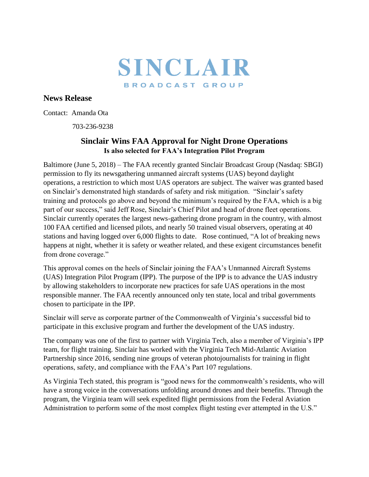

## **News Release**

Contact: Amanda Ota

703-236-9238

## **Sinclair Wins FAA Approval for Night Drone Operations Is also selected for FAA's Integration Pilot Program**

Baltimore (June 5, 2018) – The FAA recently granted Sinclair Broadcast Group (Nasdaq: SBGI) permission to fly its newsgathering unmanned aircraft systems (UAS) beyond daylight operations, a restriction to which most UAS operators are subject. The waiver was granted based on Sinclair's demonstrated high standards of safety and risk mitigation. "Sinclair's safety training and protocols go above and beyond the minimum's required by the FAA, which is a big part of our success," said Jeff Rose, Sinclair's Chief Pilot and head of drone fleet operations. Sinclair currently operates the largest news-gathering drone program in the country, with almost 100 FAA certified and licensed pilots, and nearly 50 trained visual observers, operating at 40 stations and having logged over 6,000 flights to date. Rose continued, "A lot of breaking news happens at night, whether it is safety or weather related, and these exigent circumstances benefit from drone coverage."

This approval comes on the heels of Sinclair joining the FAA's Unmanned Aircraft Systems (UAS) Integration Pilot Program (IPP). The purpose of the IPP is to advance the UAS industry by allowing stakeholders to incorporate new practices for safe UAS operations in the most responsible manner. The FAA recently announced only ten state, local and tribal governments chosen to participate in the IPP.

Sinclair will serve as corporate partner of the Commonwealth of Virginia's successful bid to participate in this exclusive program and further the development of the UAS industry.

The company was one of the first to partner with Virginia Tech, also a member of Virginia's IPP team, for flight training. Sinclair has worked with the Virginia Tech Mid-Atlantic Aviation Partnership since 2016, sending nine groups of veteran photojournalists for training in flight operations, safety, and compliance with the FAA's Part 107 regulations.

As Virginia Tech stated, this program is "good news for the commonwealth's residents, who will have a strong voice in the conversations unfolding around drones and their benefits. Through the program, the Virginia team will seek expedited flight permissions from the Federal Aviation Administration to perform some of the most complex flight testing ever attempted in the U.S."